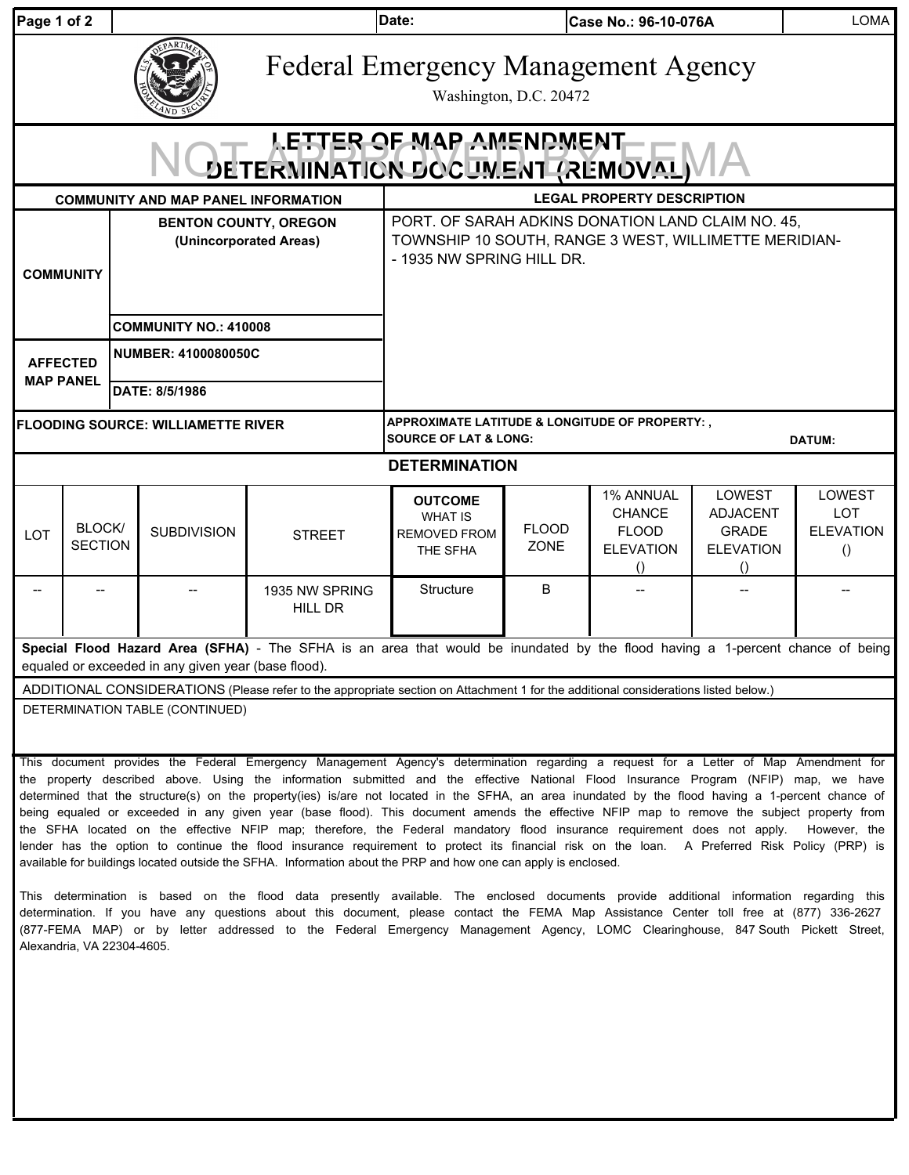| Page 1 of 2                                                |                          |                                                        |                    |                                                                                                                                                                                                                                                                                                                                                                                                                                                                                                                                                                                                                                                                                                                                                                                                                                                             | Date:<br>Case No.: 96-10-076A                                                                                                           |                        |                                                                            |                                                                                   | LOMA                                                         |  |  |  |
|------------------------------------------------------------|--------------------------|--------------------------------------------------------|--------------------|-------------------------------------------------------------------------------------------------------------------------------------------------------------------------------------------------------------------------------------------------------------------------------------------------------------------------------------------------------------------------------------------------------------------------------------------------------------------------------------------------------------------------------------------------------------------------------------------------------------------------------------------------------------------------------------------------------------------------------------------------------------------------------------------------------------------------------------------------------------|-----------------------------------------------------------------------------------------------------------------------------------------|------------------------|----------------------------------------------------------------------------|-----------------------------------------------------------------------------------|--------------------------------------------------------------|--|--|--|
|                                                            |                          |                                                        |                    | <b>Federal Emergency Management Agency</b>                                                                                                                                                                                                                                                                                                                                                                                                                                                                                                                                                                                                                                                                                                                                                                                                                  |                                                                                                                                         | Washington, D.C. 20472 |                                                                            |                                                                                   |                                                              |  |  |  |
| LETTER OF MAP AMENDMENT<br>DETERMINATION DOCUMENT (REMOVAL |                          |                                                        |                    |                                                                                                                                                                                                                                                                                                                                                                                                                                                                                                                                                                                                                                                                                                                                                                                                                                                             |                                                                                                                                         |                        |                                                                            |                                                                                   |                                                              |  |  |  |
|                                                            |                          |                                                        |                    | <b>COMMUNITY AND MAP PANEL INFORMATION</b>                                                                                                                                                                                                                                                                                                                                                                                                                                                                                                                                                                                                                                                                                                                                                                                                                  | <b>LEGAL PROPERTY DESCRIPTION</b>                                                                                                       |                        |                                                                            |                                                                                   |                                                              |  |  |  |
| <b>COMMUNITY</b>                                           |                          | <b>BENTON COUNTY, OREGON</b><br>(Unincorporated Areas) |                    |                                                                                                                                                                                                                                                                                                                                                                                                                                                                                                                                                                                                                                                                                                                                                                                                                                                             | PORT. OF SARAH ADKINS DONATION LAND CLAIM NO. 45,<br>TOWNSHIP 10 SOUTH, RANGE 3 WEST, WILLIMETTE MERIDIAN-<br>- 1935 NW SPRING HILL DR. |                        |                                                                            |                                                                                   |                                                              |  |  |  |
|                                                            |                          | <b>COMMUNITY NO.: 410008</b>                           |                    |                                                                                                                                                                                                                                                                                                                                                                                                                                                                                                                                                                                                                                                                                                                                                                                                                                                             |                                                                                                                                         |                        |                                                                            |                                                                                   |                                                              |  |  |  |
|                                                            |                          |                                                        |                    |                                                                                                                                                                                                                                                                                                                                                                                                                                                                                                                                                                                                                                                                                                                                                                                                                                                             |                                                                                                                                         |                        |                                                                            |                                                                                   |                                                              |  |  |  |
| <b>AFFECTED</b><br><b>MAP PANEL</b>                        |                          | <b>NUMBER: 4100080050C</b>                             |                    |                                                                                                                                                                                                                                                                                                                                                                                                                                                                                                                                                                                                                                                                                                                                                                                                                                                             |                                                                                                                                         |                        |                                                                            |                                                                                   |                                                              |  |  |  |
|                                                            |                          | DATE: 8/5/1986                                         |                    |                                                                                                                                                                                                                                                                                                                                                                                                                                                                                                                                                                                                                                                                                                                                                                                                                                                             |                                                                                                                                         |                        |                                                                            |                                                                                   |                                                              |  |  |  |
| <b>FLOODING SOURCE: WILLIAMETTE RIVER</b>                  |                          |                                                        |                    |                                                                                                                                                                                                                                                                                                                                                                                                                                                                                                                                                                                                                                                                                                                                                                                                                                                             | APPROXIMATE LATITUDE & LONGITUDE OF PROPERTY:,<br><b>SOURCE OF LAT &amp; LONG:</b><br><b>DATUM:</b>                                     |                        |                                                                            |                                                                                   |                                                              |  |  |  |
| <b>DETERMINATION</b>                                       |                          |                                                        |                    |                                                                                                                                                                                                                                                                                                                                                                                                                                                                                                                                                                                                                                                                                                                                                                                                                                                             |                                                                                                                                         |                        |                                                                            |                                                                                   |                                                              |  |  |  |
| LOT                                                        | BLOCK/<br><b>SECTION</b> |                                                        | <b>SUBDIVISION</b> | <b>STREET</b>                                                                                                                                                                                                                                                                                                                                                                                                                                                                                                                                                                                                                                                                                                                                                                                                                                               | <b>OUTCOME</b><br><b>WHAT IS</b><br><b>REMOVED FROM</b><br>THE SFHA                                                                     | <b>FLOOD</b><br>ZONE   | 1% ANNUAL<br><b>CHANCE</b><br><b>FLOOD</b><br><b>ELEVATION</b><br>$\Omega$ | LOWEST<br><b>ADJACENT</b><br><b>GRADE</b><br><b>ELEVATION</b><br>$\left( \right)$ | LOWEST<br><b>LOT</b><br><b>ELEVATION</b><br>$\left( \right)$ |  |  |  |
| --                                                         |                          |                                                        |                    | 1935 NW SPRING<br>HILL DR                                                                                                                                                                                                                                                                                                                                                                                                                                                                                                                                                                                                                                                                                                                                                                                                                                   | Structure                                                                                                                               | B                      |                                                                            |                                                                                   | $-$                                                          |  |  |  |
|                                                            |                          |                                                        |                    | Special Flood Hazard Area (SFHA) - The SFHA is an area that would be inundated by the flood having a 1-percent chance of being<br>equaled or exceeded in any given year (base flood).                                                                                                                                                                                                                                                                                                                                                                                                                                                                                                                                                                                                                                                                       |                                                                                                                                         |                        |                                                                            |                                                                                   |                                                              |  |  |  |
|                                                            |                          |                                                        |                    | ADDITIONAL CONSIDERATIONS (Please refer to the appropriate section on Attachment 1 for the additional considerations listed below.)                                                                                                                                                                                                                                                                                                                                                                                                                                                                                                                                                                                                                                                                                                                         |                                                                                                                                         |                        |                                                                            |                                                                                   |                                                              |  |  |  |
| DETERMINATION TABLE (CONTINUED)                            |                          |                                                        |                    |                                                                                                                                                                                                                                                                                                                                                                                                                                                                                                                                                                                                                                                                                                                                                                                                                                                             |                                                                                                                                         |                        |                                                                            |                                                                                   |                                                              |  |  |  |
|                                                            |                          |                                                        |                    | This document provides the Federal Emergency Management Agency's determination regarding a request for a Letter of Map Amendment for<br>the property described above. Using the information submitted and the effective National Flood Insurance Program (NFIP) map, we have<br>determined that the structure(s) on the property(ies) is/are not located in the SFHA, an area inundated by the flood having a 1-percent chance of<br>being equaled or exceeded in any given year (base flood). This document amends the effective NFIP map to remove the subject property from<br>the SFHA located on the effective NFIP map; therefore, the Federal mandatory flood insurance requirement does not apply.<br>lender has the option to continue the flood insurance requirement to protect its financial risk on the loan. A Preferred Risk Policy (PRP) is |                                                                                                                                         |                        |                                                                            |                                                                                   | However, the                                                 |  |  |  |

This determination is based on the flood data presently available. The enclosed documents provide additional information regarding this determination. If you have any questions about this document, please contact the FEMA Map Assistance Center toll free at (877) 336-2627 (877-FEMA MAP) or by letter addressed to the Federal Emergency Management Agency, LOMC Clearinghouse, 847 South Pickett Street, Alexandria, VA 22304-4605.

available for buildings located outside the SFHA. Information about the PRP and how one can apply is enclosed.